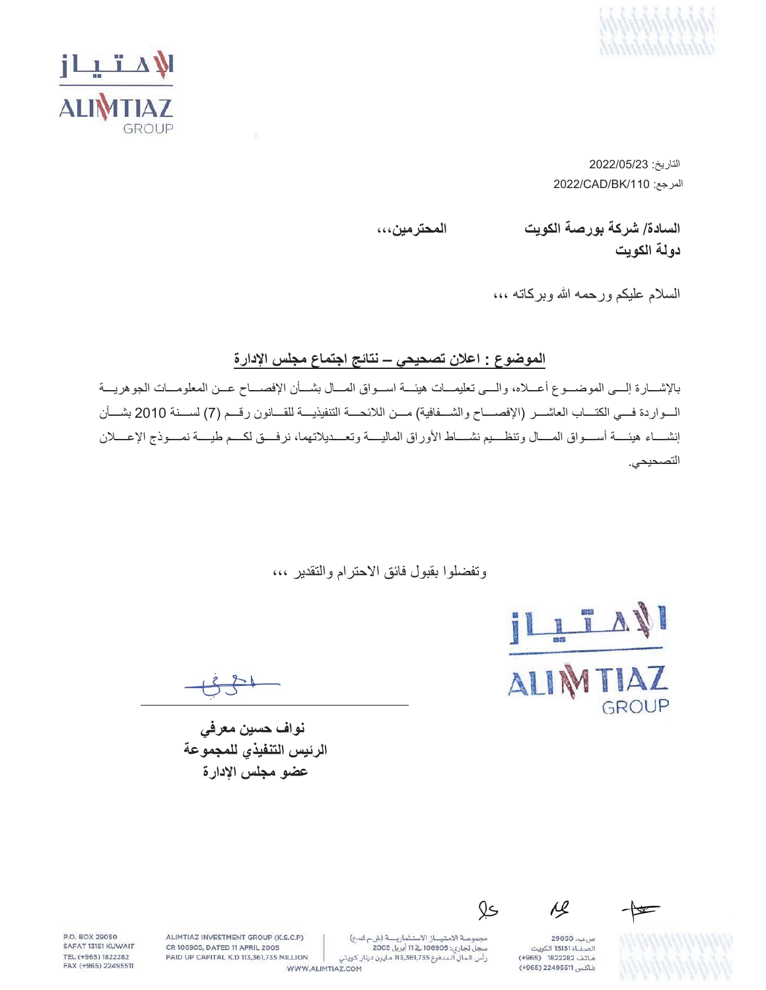



التاريخ: 2022/05/23 2022/CAD/BK/110 المرجع:

**ˬˬˬϥϳϣέΗΣϣϟ ΕϳϭϛϟΔλέϭΑΔϛέη** /**ΓΩΎγϟ**

دو ل**ه ال**کو بت

السلام عليكم ورحمه الله وبركاته ،،،

الموضوع : اعلا*ن* تصحيحي – نتائج اجتماع مجلس الإدارة

بالإشـــارة إلـــي الموضـــوع أعـــلاه، والـــي تعليمـــات هيئـــة اســواق المـــال بشـــأن الإفصـــاح عـــن المعلومـــات الجوهريـــة الــواردة فـــي الكتـــاب العاشـــر (الإفصــــاح والشـــفافية) مـــن اللائحــــة التنفيذيـــة للقـــانون رقـــم (7) لســـنة 2010 بشـــأن إنشـــاء هيئــــة أســــواق المــــال وتنظــــيم نشــــاط الأوراق الماليــــة وتعــــديلاتهما، نرفــــق لكـــم طيــــة نمــــوذج الإعــــلان التصحيحي.

وتفضلوا بقبول فائق الاحترام والتقدير ،،،

IZATI AI GROUP

نواف حسين معرف*ي* الرئيس التنفيذي للمجموعة عضو مجلس الإدارة

 $\overline{M}$ 

ص بب، 29050 .<br>الصفــاة 13151 الكويت هاتف 1822282 (4965) فاكس 22495511 (+965)

مجموعة الامتياز الاستثمارية (ش.م ك.ع) رأس الـمال الـمدفوع 113,361,735 مـليون دينار كـويتي

Qs

ALIMTIAZ INVESTMENT GROUP (K.S.C.P) CR 106905, DATED 11 APRIL 2005 PAID UP CAPITAL K.D 113,361,735 MILLION

P.O. BOX 29050

SAFAT 13151 KUWAIT

TEL (+965) 1822282

FAX (+965) 22495511

WWW.ALIMTIAZ.COM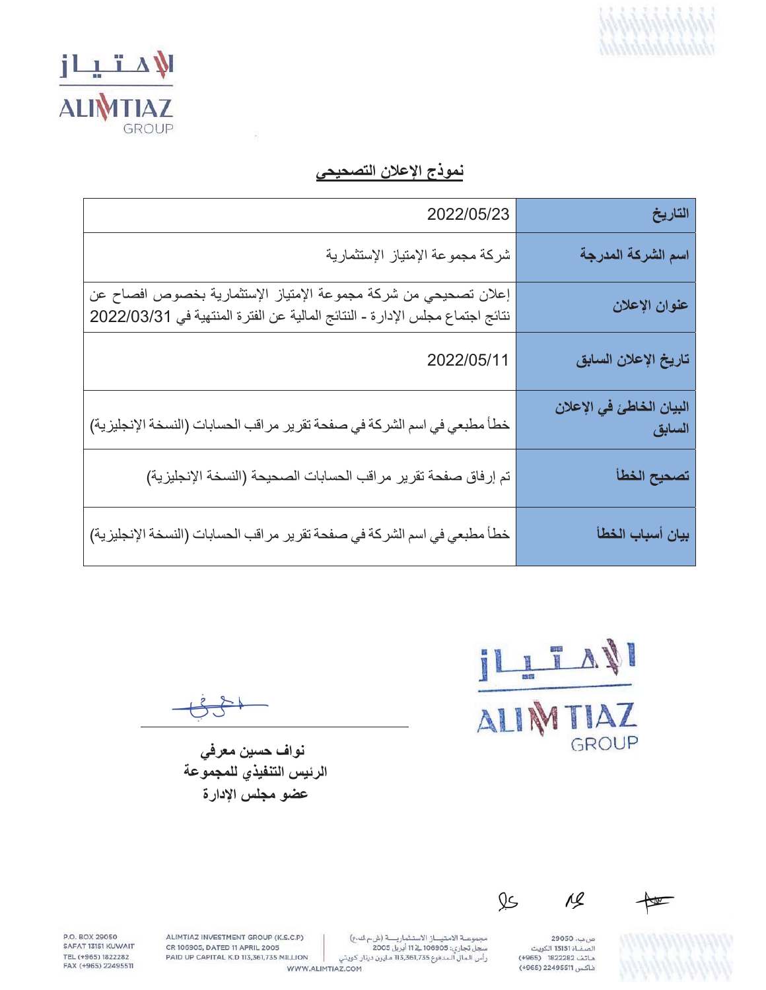



نموذج الإعلان التصحيحي

| 2022/05/23                                                                                                                                      | التاريخ                            |
|-------------------------------------------------------------------------------------------------------------------------------------------------|------------------------------------|
| شركة مجموعة الإمتياز الإستثمارية                                                                                                                | اسم الشركة المدرجة                 |
| إعلان تصحيحي من شركة مجموعة الإمتياز الإستثمارية بخصوص افصاح عن<br>نتائج اجتماع مجلس الإدار ة- النتائج المالية عن الفترة المنتهية في 2022/03/31 | عنوان الإعلان                      |
| 2022/05/11                                                                                                                                      | تاريخ الإعلان السابق               |
| خطأ مطبعي في اسم الشركة في صفحة تقرير مراقب الحسابات (النسخة الإنجليزية)                                                                        | البيان الخاطئ في الإعلان<br>السابق |
| تم إرفاق صفحة تقرير مراقب الحسابات الصحيحة (النسخة الإنجليزية)                                                                                  | تصحيح الخطأ                        |
| خطأ مطبعي في اسم الشركة في صفحة تقرير مراقب الحسابات (النسخة الإنجليزية)                                                                        | بيان أسباب الخطأ                   |

ILTANI ALIN IAZ GROUP

نواف حسين معرفي الرئيس التنفيذي للمجموعة عضو مجلس الإدارة



 $\leftarrow$ 

صب. 29050<br>الصفــاة 13151 الكويت<br>هـاتف 1822282 (965+) فاكس 22495511 (+965)

ALIMTIAZ INVESTMENT GROUP (K.S.C.P) CR 106905, DATED 11 APRIL 2005 PAID UP CAPITAL K.D 113,361,735 MILLION

P.O. BOX 29050 SAFAT 13151 KUWAIT TEL (+965) 1822282 FAX (+965) 22495511

WWW.ALIMTIAZ.COM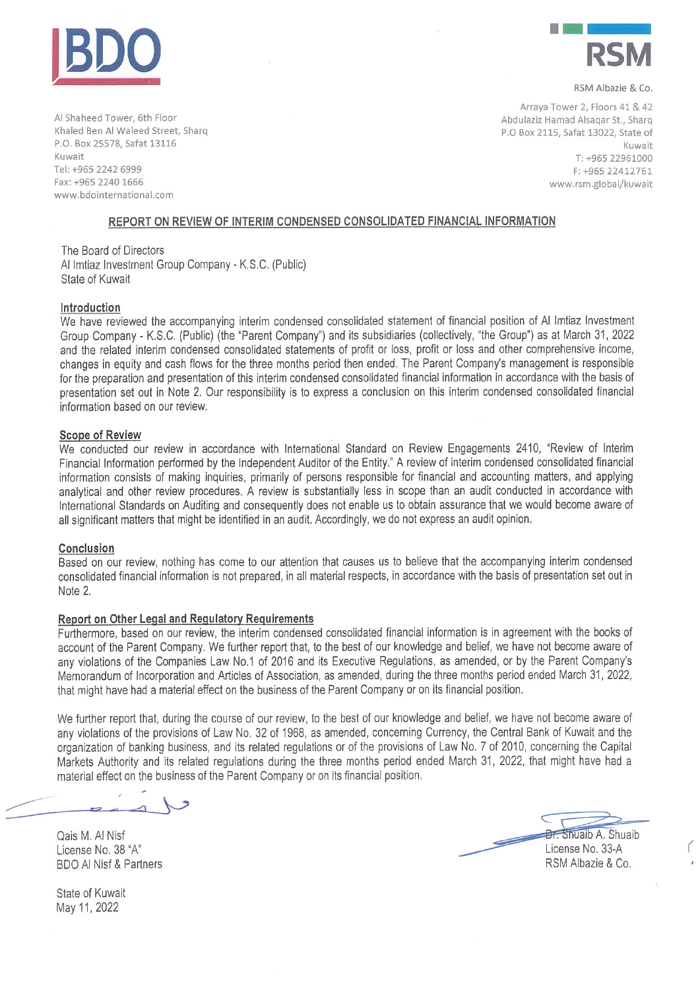



RSM Albazie & Co.

Al Shaheed Tower, 6th Floor Khaled Ben Al Waleed Street, Sharq P.O. Box 25578, Safat 13116 Kuwait Tel: +965 2242 6999 Fax: +965 2240 1666 www.bdointernational.com

Arraya Tower 2, Floors 41 & 42 Abdulaziz Hamad Alsagar St., Sharg P.O Box 2115, Safat 13022, State of Kuwait T: +965 22961000 F: +965 22412761 www.rsm.global/kuwait

## REPORT ON REVIEW OF INTERIM CONDENSED CONSOLIDATED FINANCIAL INFORMATION

The Board of Directors Al Imtiaz Investment Group Company - K.S.C. (Public) State of Kuwait

### Introduction

We have reviewed the accompanying interim condensed consolidated statement of financial position of Al Imtiaz Investment Group Company - K.S.C. (Public) (the "Parent Company") and its subsidiaries (collectively, "the Group") as at March 31, 2022 and the related interim condensed consolidated statements of profit or loss, profit or loss and other comprehensive income, changes in equity and cash flows for the three months period then ended. The Parent Company's management is responsible for the preparation and presentation of this interim condensed consolidated financial information in accordance with the basis of presentation set out in Note 2. Our responsibility is to express a conclusion on this interim condensed consolidated financial information based on our review.

#### **Scope of Review**

We conducted our review in accordance with International Standard on Review Engagements 2410, "Review of Interim Financial Information performed by the Independent Auditor of the Entity." A review of interim condensed consolidated financial information consists of making inquiries, primarily of persons responsible for financial and accounting matters, and applying analytical and other review procedures. A review is substantially less in scope than an audit conducted in accordance with International Standards on Auditing and consequently does not enable us to obtain assurance that we would become aware of all significant matters that might be identified in an audit. Accordingly, we do not express an audit opinion.

### Conclusion

Based on our review, nothing has come to our attention that causes us to believe that the accompanying interim condensed consolidated financial information is not prepared, in all material respects, in accordance with the basis of presentation set out in Note 2.

### Report on Other Legal and Regulatory Requirements

Furthermore, based on our review, the interim condensed consolidated financial information is in agreement with the books of account of the Parent Company. We further report that, to the best of our knowledge and belief, we have not become aware of any violations of the Companies Law No.1 of 2016 and its Executive Regulations, as amended, or by the Parent Company's Memorandum of Incorporation and Articles of Association, as amended, during the three months period ended March 31, 2022, that might have had a material effect on the business of the Parent Company or on its financial position.

We further report that, during the course of our review, to the best of our knowledge and belief, we have not become aware of any violations of the provisions of Law No. 32 of 1968, as amended, concerning Currency, the Central Bank of Kuwait and the organization of banking business, and its related regulations or of the provisions of Law No. 7 of 2010, concerning the Capital Markets Authority and its related regulations during the three months period ended March 31, 2022, that might have had a material effect on the business of the Parent Company or on its financial position.

Qais M. Al Nisf License No. 38 "A" **BDO AI Nisf & Partners** 

**Br.** Shuaib A. Shuaib License No. 33-A RSM Albazie & Co.

State of Kuwait May 11, 2022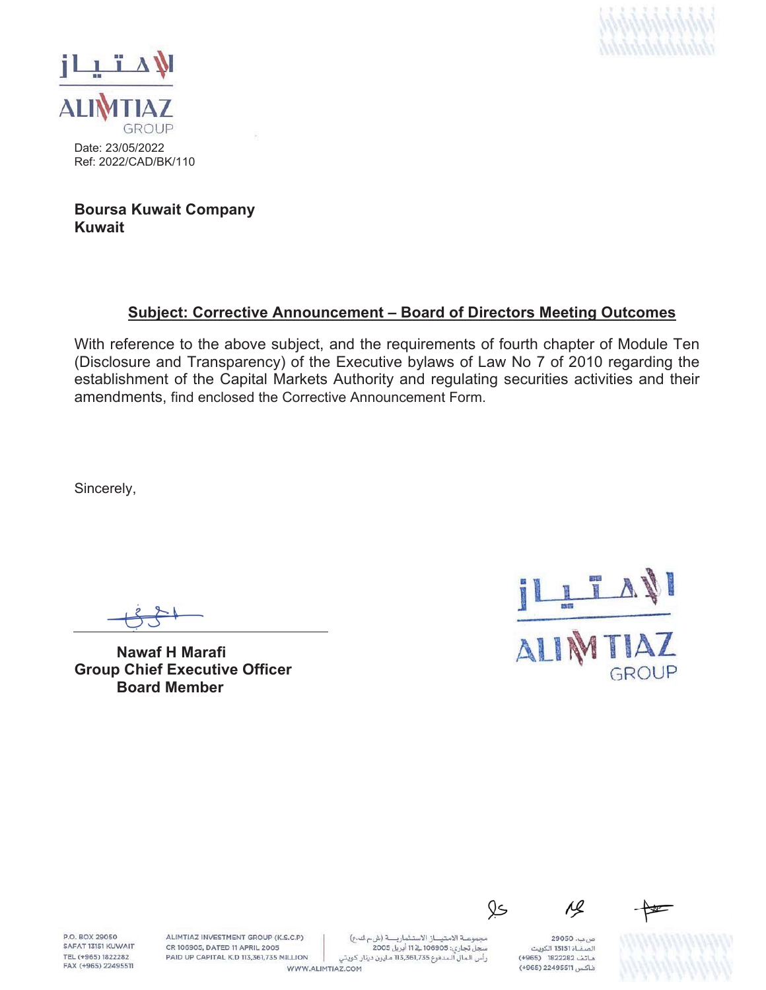



Date: 23/05/2022 Ref: 2022/CAD/BK/110

**Boursa Kuwait Company Kuwait**

# **Subject: Corrective Announcement – Board of Directors Meeting Outcomes**

With reference to the above subject, and the requirements of fourth chapter of Module Ten (Disclosure and Transparency) of the Executive bylaws of Law No 7 of 2010 regarding the establishment of the Capital Markets Authority and regulating securities activities and their amendments, find enclosed the Corrective Announcement Form.

Sincerely,

**Nawaf H Marafi Group Chief Executive Officer Board Member**



**P.O. ROY 29050** SAFAT 13151 KUWAIT TEL (+965) 1822282 FAX (+965) 22495511 ALIMTIAZ INVESTMENT GROUP (K.S.C.P) CR 106905, DATED 11 APRIL 2005 PAID UP CAPITAL K.D 113,361,735 MILLION

مجموعة الامتياز الاستثمارية (شءك ع) سجل تجاري: 106905 فے 11 أبريل 2005 رأس الـمال الـمدفوع 113,361,735 مـليون دينار كـويتي WWW.ALIMTIAZ.COM

ص بب، 29050 .<br>الصفــاة 13151 الكويت هاتف 1822282 (4965) فاكس 22495511 (+965)

Qs

Лl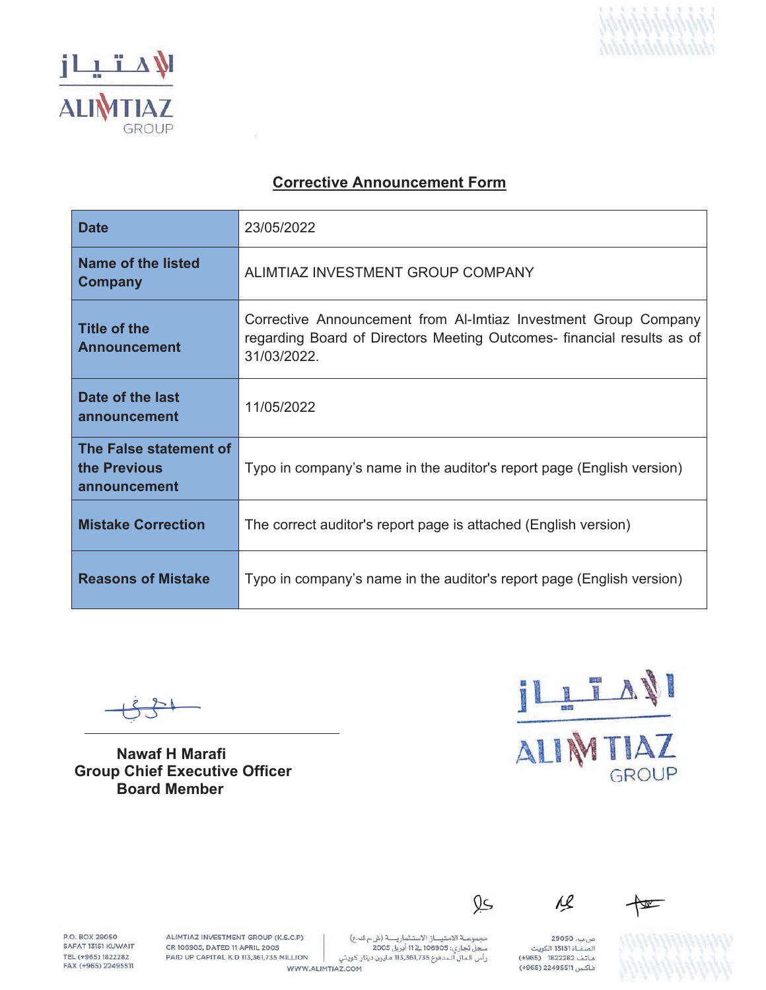



# **Corrective Announcement Form**

옰

| <b>Date</b>                                            | 23/05/2022                                                                                                                                               |
|--------------------------------------------------------|----------------------------------------------------------------------------------------------------------------------------------------------------------|
| Name of the listed<br><b>Company</b>                   | ALIMTIAZ INVESTMENT GROUP COMPANY                                                                                                                        |
| <b>Title of the</b><br><b>Announcement</b>             | Corrective Announcement from Al-Imtiaz Investment Group Company<br>regarding Board of Directors Meeting Outcomes- financial results as of<br>31/03/2022. |
| Date of the last<br>announcement                       | 11/05/2022                                                                                                                                               |
| The False statement of<br>the Previous<br>announcement | Typo in company's name in the auditor's report page (English version)                                                                                    |
| <b>Mistake Correction</b>                              | The correct auditor's report page is attached (English version)                                                                                          |
| <b>Reasons of Mistake</b>                              | Typo in company's name in the auditor's report page (English version)                                                                                    |

**Nawaf H Marafi Group Chief Executive Officer Board Member** 

ILITARI **TTIAZ** ALIN GROUP

P.O. BOX 29050 SAFAT 13151 KUWAIT TEL (+965) 1822282 FAX (+965) 22495511

ALIMTIAZ INVESTMENT GROUP (K.S.C.P) CR 106905, DATED 11 APRIL 2005 PAID UP CAPITAL K.D 113,361,735 MILLION

WWW.ALIMTIAZ.COM

صب. 29050 .<br>الصفاة 13151 الكويت هاتف 1822282 (4965) فاكس 22495511 (+965)

<u>Qs</u>

 $\overline{\mathcal{G}}$ 

W